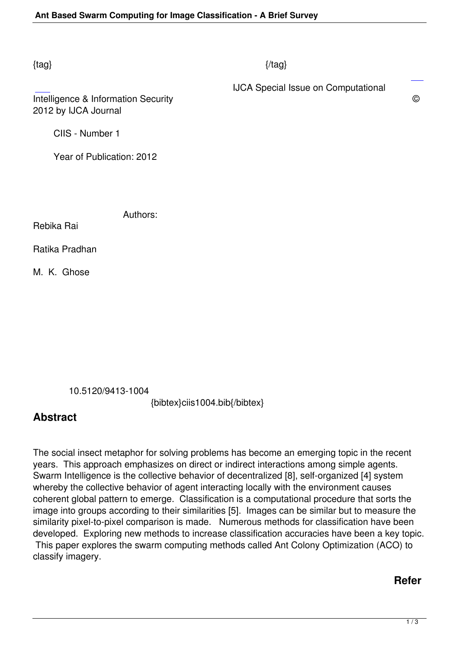### $\{tag\}$

IJCA Special Issue on Computational

Intelligence & Information Security © 2012 by IJCA Journal

CIIS - Number 1

Year of Publication: 2012

Authors:

Rebika Rai

Ratika Pradhan

M. K. Ghose

10.5120/9413-1004

{bibtex}ciis1004.bib{/bibtex}

# **Abstract**

The social insect metaphor for solving problems has become an emerging topic in the recent years. This approach emphasizes on direct or indirect interactions among simple agents. Swarm Intelligence is the collective behavior of decentralized [8], self-organized [4] system whereby the collective behavior of agent interacting locally with the environment causes coherent global pattern to emerge. Classification is a computational procedure that sorts the image into groups according to their similarities [5]. Images can be similar but to measure the similarity pixel-to-pixel comparison is made. Numerous methods for classification have been developed. Exploring new methods to increase classification accuracies have been a key topic. This paper explores the swarm computing methods called Ant Colony Optimization (ACO) to classify imagery.

## **Refer**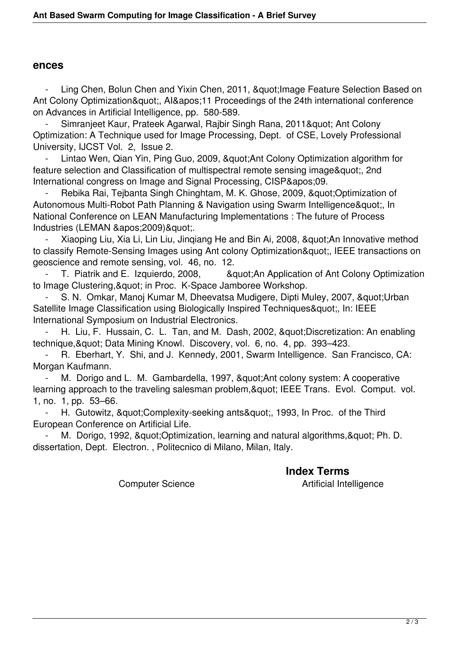#### **ences**

Ling Chen, Bolun Chen and Yixin Chen, 2011, & au ot: Image Feature Selection Based on Ant Colony Optimization&quot:, AI&apos:11 Proceedings of the 24th international conference on Advances in Artificial Intelligence, pp. 580-589.

Simranjeet Kaur, Prateek Agarwal, Rajbir Singh Rana, 2011& guot; Ant Colony Optimization: A Technique used for Image Processing, Dept. of CSE, Lovely Professional University, IJCST Vol. 2, Issue 2.

Lintao Wen, Qian Yin, Ping Guo, 2009, & quot; Ant Colony Optimization algorithm for feature selection and Classification of multispectral remote sensing image", 2nd International congress on Image and Signal Processing, CISP'09.

Rebika Rai, Teibanta Singh Chinghtam, M. K. Ghose, 2009, &quot:Optimization of Autonomous Multi-Robot Path Planning & Navigation using Swarm Intelligence", In National Conference on LEAN Manufacturing Implementations : The future of Process Industries (LEMAN ' 2009) & quot;.

Xiaoping Liu, Xia Li, Lin Liu, Jingiang He and Bin Ai, 2008, & quot; An Innovative method to classify Remote-Sensing Images using Ant colony Optimization", IEEE transactions on geoscience and remote sensing, vol. 46, no. 12.<br>T. Piatrik and E. Izquierdo. 2008. 80

**& August: An Application of Ant Colony Optimization** to Image Clustering, & quot; in Proc. K-Space Jamboree Workshop.

S. N. Omkar, Manoj Kumar M, Dheevatsa Mudigere, Dipti Muley, 2007, "Urban Satellite Image Classification using Biologically Inspired Techniques&quot:, In: IEEE International Symposium on Industrial Electronics.

H. Liu, F. Hussain, C. L. Tan, and M. Dash, 2002, " Discretization: An enabling technique, & quot; Data Mining Knowl. Discovery, vol. 6, no. 4, pp. 393–423.

R. Eberhart, Y. Shi, and J. Kennedy, 2001, Swarm Intelligence. San Francisco, CA: Morgan Kaufmann.

M. Dorigo and L. M. Gambardella, 1997, & quot: Ant colony system: A cooperative learning approach to the traveling salesman problem, & quot; IEEE Trans. Evol. Comput. vol. 1, no. 1, pp. 53–66.

H. Gutowitz, "Complexity-seeking ants", 1993, In Proc. of the Third European Conference on Artificial Life.

M. Dorigo, 1992, & quot; Optimization, learning and natural algorithms, & quot; Ph. D. dissertation, Dept. Electron. , Politecnico di Milano, Milan, Italy.

### **Index Terms**

Computer Science **Artificial Intelligence**